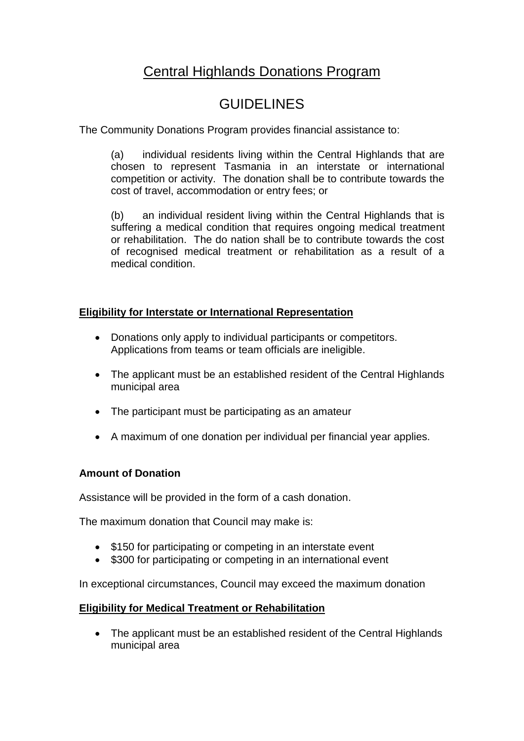# Central Highlands Donations Program

## **GUIDELINES**

The Community Donations Program provides financial assistance to:

(a) individual residents living within the Central Highlands that are chosen to represent Tasmania in an interstate or international competition or activity. The donation shall be to contribute towards the cost of travel, accommodation or entry fees; or

(b) an individual resident living within the Central Highlands that is suffering a medical condition that requires ongoing medical treatment or rehabilitation. The do nation shall be to contribute towards the cost of recognised medical treatment or rehabilitation as a result of a medical condition.

### **Eligibility for Interstate or International Representation**

- Donations only apply to individual participants or competitors. Applications from teams or team officials are ineligible.
- The applicant must be an established resident of the Central Highlands municipal area
- The participant must be participating as an amateur
- A maximum of one donation per individual per financial year applies.

#### **Amount of Donation**

Assistance will be provided in the form of a cash donation.

The maximum donation that Council may make is:

- \$150 for participating or competing in an interstate event
- \$300 for participating or competing in an international event

In exceptional circumstances, Council may exceed the maximum donation

#### **Eligibility for Medical Treatment or Rehabilitation**

• The applicant must be an established resident of the Central Highlands municipal area